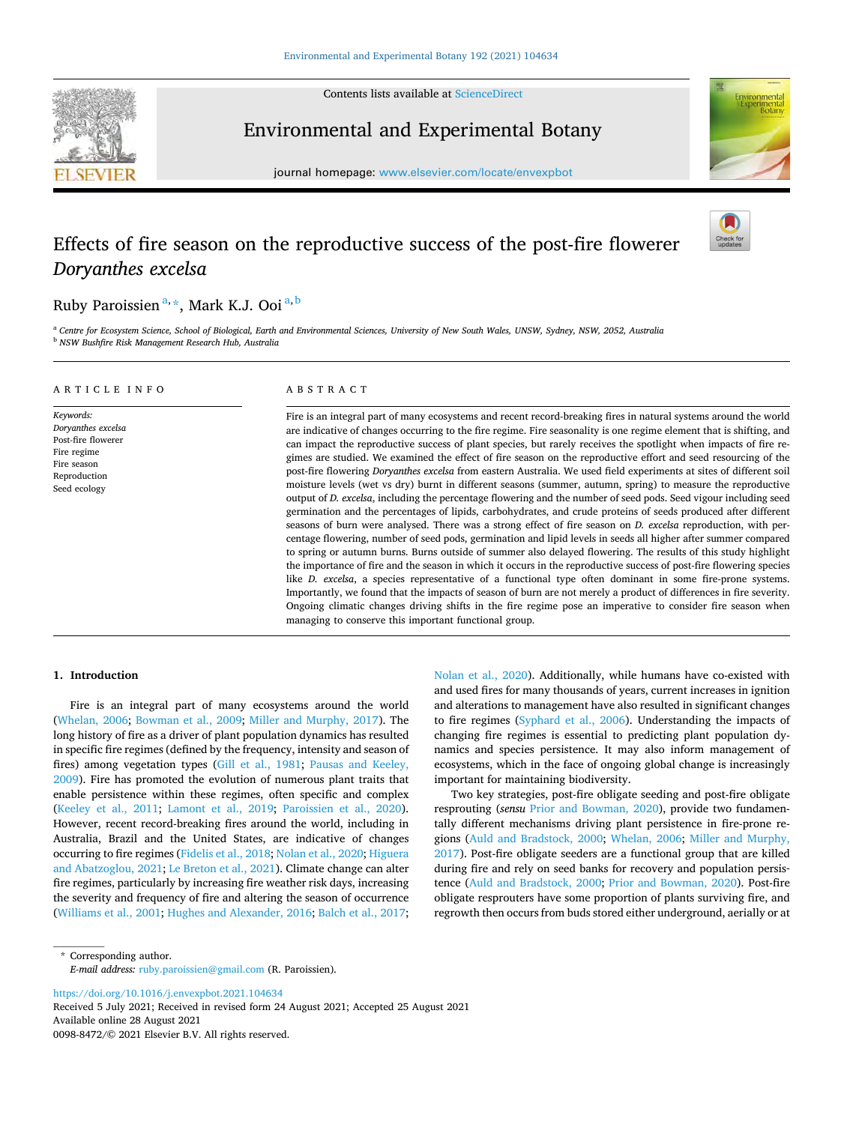

Contents lists available at [ScienceDirect](www.sciencedirect.com/science/journal/00988472)

## Environmental and Experimental Botany

journal homepage: [www.elsevier.com/locate/envexpbot](https://www.elsevier.com/locate/envexpbot)

# Effects of fire season on the reproductive success of the post-fire flowerer *Doryanthes excelsa*

## Ruby Paroissien <sup>a, \*</sup>, Mark K.J. Ooi <sup>a, b</sup>

<sup>a</sup> Centre for Ecosystem Science, School of Biological, Earth and Environmental Sciences, University of New South Wales, UNSW, Sydney, NSW, 2052, Australia <sup>b</sup> *NSW Bushfire Risk Management Research Hub, Australia* 

| ARTICLE INFO                                                                                                        | ABSTRACT                                                                                                                                                                                                                                                                                                                                                                                                                                                                                                                                                                                                                                                                                                                                                                                                                                                                                                                                                                                                                                                                                                                                                                                                                                                                                                                                                                                                                                                                                                                                                                                                                                                                                         |  |  |  |  |
|---------------------------------------------------------------------------------------------------------------------|--------------------------------------------------------------------------------------------------------------------------------------------------------------------------------------------------------------------------------------------------------------------------------------------------------------------------------------------------------------------------------------------------------------------------------------------------------------------------------------------------------------------------------------------------------------------------------------------------------------------------------------------------------------------------------------------------------------------------------------------------------------------------------------------------------------------------------------------------------------------------------------------------------------------------------------------------------------------------------------------------------------------------------------------------------------------------------------------------------------------------------------------------------------------------------------------------------------------------------------------------------------------------------------------------------------------------------------------------------------------------------------------------------------------------------------------------------------------------------------------------------------------------------------------------------------------------------------------------------------------------------------------------------------------------------------------------|--|--|--|--|
| Keywords:<br>Doryanthes excelsa<br>Post-fire flowerer<br>Fire regime<br>Fire season<br>Reproduction<br>Seed ecology | Fire is an integral part of many ecosystems and recent record-breaking fires in natural systems around the world<br>are indicative of changes occurring to the fire regime. Fire seasonality is one regime element that is shifting, and<br>can impact the reproductive success of plant species, but rarely receives the spotlight when impacts of fire re-<br>gimes are studied. We examined the effect of fire season on the reproductive effort and seed resourcing of the<br>post-fire flowering <i>Doryanthes excelsa</i> from eastern Australia. We used field experiments at sites of different soil<br>moisture levels (wet vs dry) burnt in different seasons (summer, autumn, spring) to measure the reproductive<br>output of D. excelsa, including the percentage flowering and the number of seed pods. Seed vigour including seed<br>germination and the percentages of lipids, carbohydrates, and crude proteins of seeds produced after different<br>seasons of burn were analysed. There was a strong effect of fire season on <i>D. excelsa</i> reproduction, with per-<br>centage flowering, number of seed pods, germination and lipid levels in seeds all higher after summer compared<br>to spring or autumn burns. Burns outside of summer also delayed flowering. The results of this study highlight<br>the importance of fire and the season in which it occurs in the reproductive success of post-fire flowering species<br>like <i>D. excelsa</i> , a species representative of a functional type often dominant in some fire-prone systems.<br>Importantly, we found that the impacts of season of burn are not merely a product of differences in fire severity. |  |  |  |  |

managing to conserve this important functional group.

## **1. Introduction**

Fire is an integral part of many ecosystems around the world ([Whelan, 2006;](#page-9-0) [Bowman et al., 2009;](#page-8-0) [Miller and Murphy, 2017](#page-8-0)). The long history of fire as a driver of plant population dynamics has resulted in specific fire regimes (defined by the frequency, intensity and season of fires) among vegetation types [\(Gill et al., 1981;](#page-8-0) Pausas and Keeley, [2009\)](#page-9-0). Fire has promoted the evolution of numerous plant traits that enable persistence within these regimes, often specific and complex ([Keeley et al., 2011](#page-8-0); [Lamont et al., 2019](#page-8-0); [Paroissien et al., 2020](#page-9-0)). However, recent record-breaking fires around the world, including in Australia, Brazil and the United States, are indicative of changes occurring to fire regimes ([Fidelis et al., 2018](#page-8-0); [Nolan et al., 2020; Higuera](#page-8-0)  [and Abatzoglou, 2021](#page-8-0); [Le Breton et al., 2021\)](#page-8-0). Climate change can alter fire regimes, particularly by increasing fire weather risk days, increasing the severity and frequency of fire and altering the season of occurrence ([Williams et al., 2001;](#page-9-0) [Hughes and Alexander, 2016](#page-8-0); [Balch et al., 2017](#page-8-0); [Nolan et al., 2020](#page-8-0)). Additionally, while humans have co-existed with and used fires for many thousands of years, current increases in ignition and alterations to management have also resulted in significant changes to fire regimes ([Syphard et al., 2006](#page-9-0)). Understanding the impacts of changing fire regimes is essential to predicting plant population dynamics and species persistence. It may also inform management of ecosystems, which in the face of ongoing global change is increasingly important for maintaining biodiversity.

Ongoing climatic changes driving shifts in the fire regime pose an imperative to consider fire season when

Two key strategies, post-fire obligate seeding and post-fire obligate resprouting (*sensu* [Prior and Bowman, 2020\)](#page-9-0), provide two fundamentally different mechanisms driving plant persistence in fire-prone regions [\(Auld and Bradstock, 2000;](#page-8-0) [Whelan, 2006](#page-9-0); [Miller and Murphy,](#page-8-0)  [2017\)](#page-8-0). Post-fire obligate seeders are a functional group that are killed during fire and rely on seed banks for recovery and population persistence [\(Auld and Bradstock, 2000;](#page-8-0) [Prior and Bowman, 2020](#page-9-0)). Post-fire obligate resprouters have some proportion of plants surviving fire, and regrowth then occurs from buds stored either underground, aerially or at

\* Corresponding author. *E-mail address:* [ruby.paroissien@gmail.com](mailto:ruby.paroissien@gmail.com) (R. Paroissien).

<https://doi.org/10.1016/j.envexpbot.2021.104634>

Available online 28 August 2021 0098-8472/© 2021 Elsevier B.V. All rights reserved. Received 5 July 2021; Received in revised form 24 August 2021; Accepted 25 August 2021



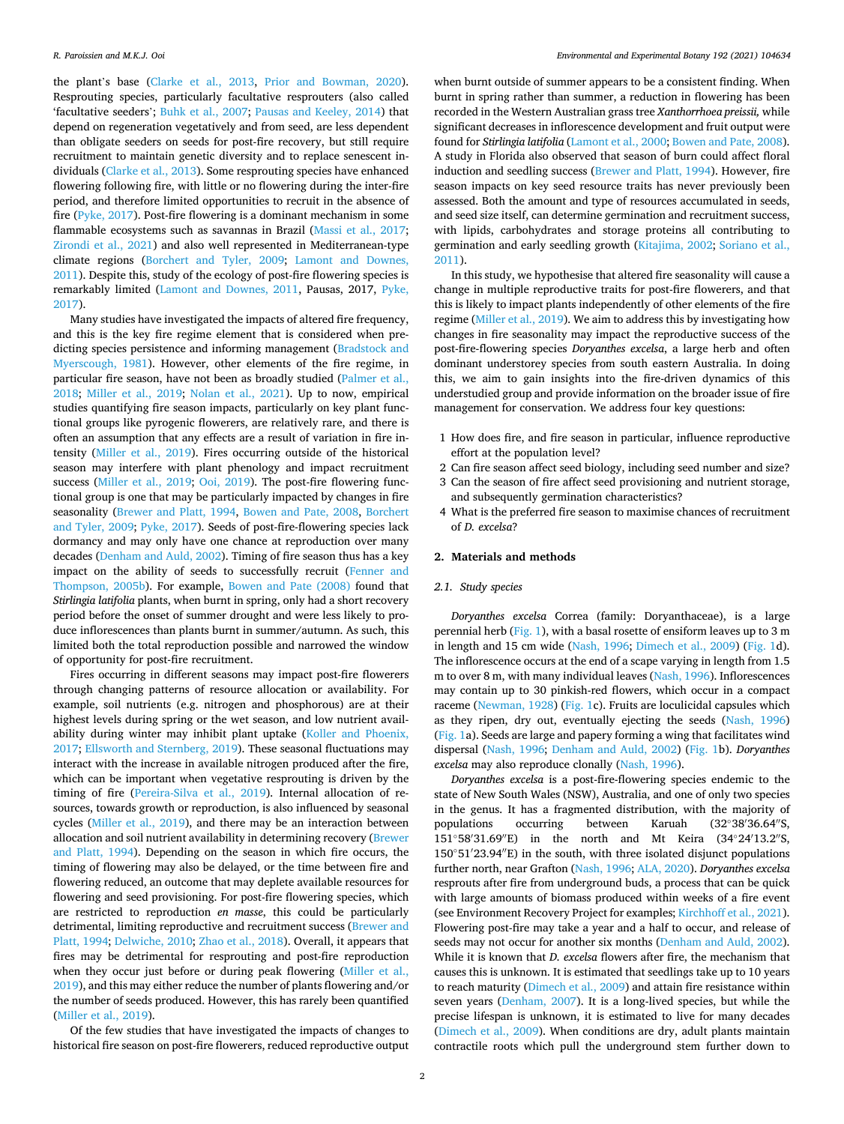the plant's base [\(Clarke et al., 2013,](#page-8-0) [Prior and Bowman, 2020](#page-9-0)). Resprouting species, particularly facultative resprouters (also called 'facultative seeders'; [Buhk et al., 2007](#page-8-0); [Pausas and Keeley, 2014\)](#page-9-0) that depend on regeneration vegetatively and from seed, are less dependent than obligate seeders on seeds for post-fire recovery, but still require recruitment to maintain genetic diversity and to replace senescent individuals ([Clarke et al., 2013\)](#page-8-0). Some resprouting species have enhanced flowering following fire, with little or no flowering during the inter-fire period, and therefore limited opportunities to recruit in the absence of fire ([Pyke, 2017](#page-9-0)). Post-fire flowering is a dominant mechanism in some flammable ecosystems such as savannas in Brazil ([Massi et al., 2017](#page-8-0); [Zirondi et al., 2021\)](#page-9-0) and also well represented in Mediterranean-type climate regions ([Borchert and Tyler, 2009;](#page-8-0) [Lamont and Downes,](#page-8-0)  [2011\)](#page-8-0). Despite this, study of the ecology of post-fire flowering species is remarkably limited ([Lamont and Downes, 2011,](#page-8-0) Pausas, 2017, [Pyke,](#page-9-0)  [2017\)](#page-9-0).

Many studies have investigated the impacts of altered fire frequency, and this is the key fire regime element that is considered when predicting species persistence and informing management [\(Bradstock and](#page-8-0)  [Myerscough, 1981](#page-8-0)). However, other elements of the fire regime, in particular fire season, have not been as broadly studied [\(Palmer et al.,](#page-8-0)  [2018;](#page-8-0) [Miller et al., 2019;](#page-8-0) [Nolan et al., 2021](#page-8-0)). Up to now, empirical studies quantifying fire season impacts, particularly on key plant functional groups like pyrogenic flowerers, are relatively rare, and there is often an assumption that any effects are a result of variation in fire intensity ([Miller et al., 2019](#page-8-0)). Fires occurring outside of the historical season may interfere with plant phenology and impact recruitment success [\(Miller et al., 2019](#page-8-0); [Ooi, 2019\)](#page-8-0). The post-fire flowering functional group is one that may be particularly impacted by changes in fire seasonality ([Brewer and Platt, 1994](#page-8-0), [Bowen and Pate, 2008](#page-8-0), [Borchert](#page-8-0)  [and Tyler, 2009;](#page-8-0) [Pyke, 2017](#page-9-0)). Seeds of post-fire-flowering species lack dormancy and may only have one chance at reproduction over many decades [\(Denham and Auld, 2002](#page-8-0)). Timing of fire season thus has a key impact on the ability of seeds to successfully recruit ([Fenner and](#page-8-0)  [Thompson, 2005b\)](#page-8-0). For example, [Bowen and Pate \(2008\)](#page-8-0) found that *Stirlingia latifolia* plants, when burnt in spring, only had a short recovery period before the onset of summer drought and were less likely to produce inflorescences than plants burnt in summer/autumn. As such, this limited both the total reproduction possible and narrowed the window of opportunity for post-fire recruitment.

Fires occurring in different seasons may impact post-fire flowerers through changing patterns of resource allocation or availability. For example, soil nutrients (e.g. nitrogen and phosphorous) are at their highest levels during spring or the wet season, and low nutrient availability during winter may inhibit plant uptake [\(Koller and Phoenix,](#page-8-0)  [2017; Ellsworth and Sternberg, 2019\)](#page-8-0). These seasonal fluctuations may interact with the increase in available nitrogen produced after the fire, which can be important when vegetative resprouting is driven by the timing of fire [\(Pereira-Silva et al., 2019\)](#page-9-0). Internal allocation of resources, towards growth or reproduction, is also influenced by seasonal cycles ([Miller et al., 2019\)](#page-8-0), and there may be an interaction between allocation and soil nutrient availability in determining recovery ([Brewer](#page-8-0)  [and Platt, 1994](#page-8-0)). Depending on the season in which fire occurs, the timing of flowering may also be delayed, or the time between fire and flowering reduced, an outcome that may deplete available resources for flowering and seed provisioning. For post-fire flowering species, which are restricted to reproduction *en masse*, this could be particularly detrimental, limiting reproductive and recruitment success [\(Brewer and](#page-8-0)  [Platt, 1994](#page-8-0); [Delwiche, 2010;](#page-8-0) [Zhao et al., 2018](#page-9-0)). Overall, it appears that fires may be detrimental for resprouting and post-fire reproduction when they occur just before or during peak flowering ([Miller et al.,](#page-8-0)  [2019\)](#page-8-0), and this may either reduce the number of plants flowering and/or the number of seeds produced. However, this has rarely been quantified ([Miller et al., 2019](#page-8-0)).

Of the few studies that have investigated the impacts of changes to historical fire season on post-fire flowerers, reduced reproductive output

when burnt outside of summer appears to be a consistent finding. When burnt in spring rather than summer, a reduction in flowering has been recorded in the Western Australian grass tree *Xanthorrhoea preissii,* while significant decreases in inflorescence development and fruit output were found for *Stirlingia latifolia* [\(Lamont et al., 2000; Bowen and Pate, 2008](#page-8-0)). A study in Florida also observed that season of burn could affect floral induction and seedling success [\(Brewer and Platt, 1994\)](#page-8-0). However, fire season impacts on key seed resource traits has never previously been assessed. Both the amount and type of resources accumulated in seeds, and seed size itself, can determine germination and recruitment success, with lipids, carbohydrates and storage proteins all contributing to germination and early seedling growth [\(Kitajima, 2002](#page-8-0); [Soriano et al.,](#page-9-0)  [2011\)](#page-9-0).

In this study, we hypothesise that altered fire seasonality will cause a change in multiple reproductive traits for post-fire flowerers, and that this is likely to impact plants independently of other elements of the fire regime ([Miller et al., 2019\)](#page-8-0). We aim to address this by investigating how changes in fire seasonality may impact the reproductive success of the post-fire-flowering species *Doryanthes excelsa*, a large herb and often dominant understorey species from south eastern Australia. In doing this, we aim to gain insights into the fire-driven dynamics of this understudied group and provide information on the broader issue of fire management for conservation. We address four key questions:

- 1 How does fire, and fire season in particular, influence reproductive effort at the population level?
- 2 Can fire season affect seed biology, including seed number and size?
- 3 Can the season of fire affect seed provisioning and nutrient storage, and subsequently germination characteristics?
- 4 What is the preferred fire season to maximise chances of recruitment of *D. excelsa*?

### **2. Materials and methods**

#### *2.1. Study species*

*Doryanthes excelsa* Correa (family: Doryanthaceae), is a large perennial herb ([Fig. 1](#page-2-0)), with a basal rosette of ensiform leaves up to 3 m in length and 15 cm wide ([Nash, 1996](#page-8-0); [Dimech et al., 2009](#page-8-0)) ([Fig. 1d](#page-2-0)). The inflorescence occurs at the end of a scape varying in length from 1.5 m to over 8 m, with many individual leaves ([Nash, 1996](#page-8-0)). Inflorescences may contain up to 30 pinkish-red flowers, which occur in a compact raceme [\(Newman, 1928\)](#page-8-0) ([Fig. 1c](#page-2-0)). Fruits are loculicidal capsules which as they ripen, dry out, eventually ejecting the seeds ([Nash, 1996\)](#page-8-0) ([Fig. 1a](#page-2-0)). Seeds are large and papery forming a wing that facilitates wind dispersal ([Nash, 1996](#page-8-0); [Denham and Auld, 2002\)](#page-8-0) ([Fig. 1](#page-2-0)b). *Doryanthes excelsa* may also reproduce clonally ([Nash, 1996](#page-8-0)).

*Doryanthes excelsa* is a post-fire-flowering species endemic to the state of New South Wales (NSW), Australia, and one of only two species in the genus. It has a fragmented distribution, with the majority of populations occurring between Karuah  $(32^{\circ}38'36.64''\text{S})$ 151◦58′ 31.69′′E) in the north and Mt Keira (34◦24′ 13.2′′S, 150◦51′ 23.94′′E) in the south, with three isolated disjunct populations further north, near Grafton ([Nash, 1996; ALA, 2020](#page-8-0)). *Doryanthes excelsa*  resprouts after fire from underground buds, a process that can be quick with large amounts of biomass produced within weeks of a fire event (see Environment Recovery Project for examples; [Kirchhoff et al., 2021](#page-8-0)). Flowering post-fire may take a year and a half to occur, and release of seeds may not occur for another six months [\(Denham and Auld, 2002](#page-8-0)). While it is known that *D. excelsa* flowers after fire, the mechanism that causes this is unknown. It is estimated that seedlings take up to 10 years to reach maturity ([Dimech et al., 2009](#page-8-0)) and attain fire resistance within seven years [\(Denham, 2007](#page-8-0)). It is a long-lived species, but while the precise lifespan is unknown, it is estimated to live for many decades ([Dimech et al., 2009](#page-8-0)). When conditions are dry, adult plants maintain contractile roots which pull the underground stem further down to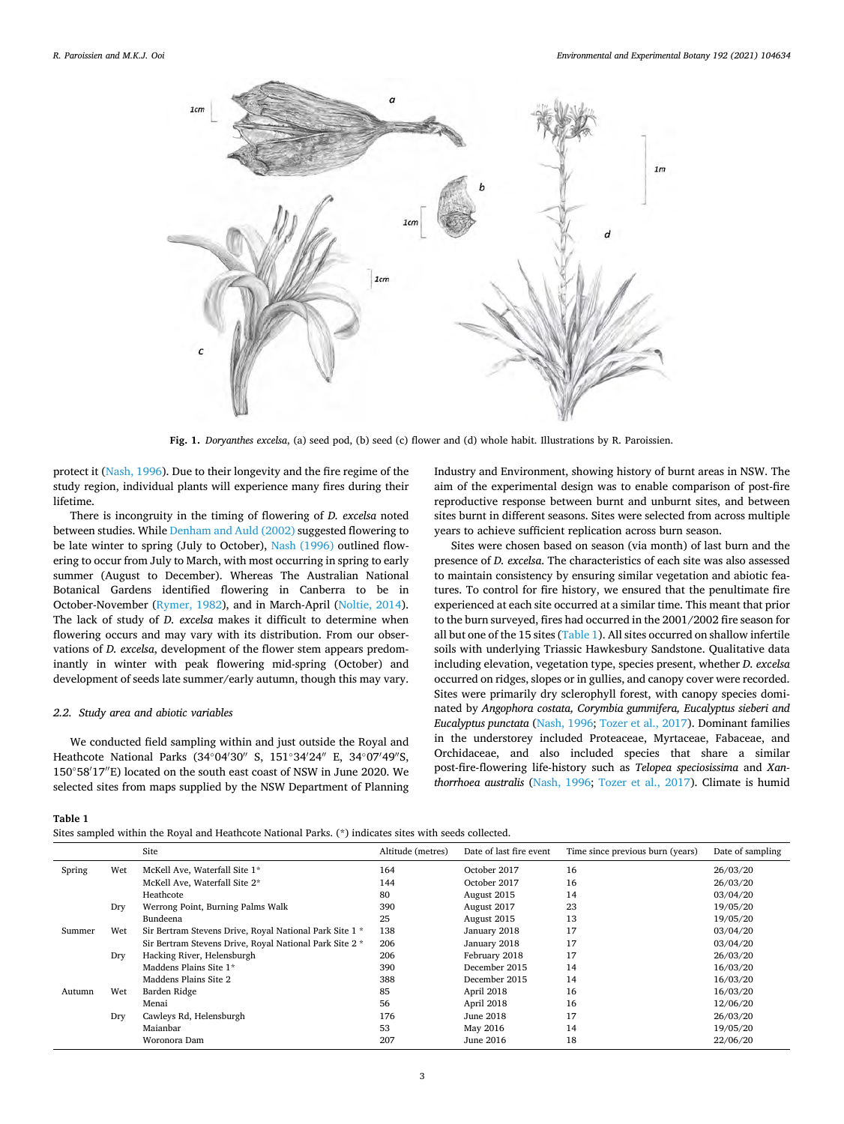<span id="page-2-0"></span>

**Fig. 1.** *Doryanthes excelsa*, (a) seed pod, (b) seed (c) flower and (d) whole habit. Illustrations by R. Paroissien.

protect it ([Nash, 1996](#page-8-0)). Due to their longevity and the fire regime of the study region, individual plants will experience many fires during their lifetime.

There is incongruity in the timing of flowering of *D. excelsa* noted between studies. While [Denham and Auld \(2002\)](#page-8-0) suggested flowering to be late winter to spring (July to October), [Nash \(1996\)](#page-8-0) outlined flowering to occur from July to March, with most occurring in spring to early summer (August to December). Whereas The Australian National Botanical Gardens identified flowering in Canberra to be in October-November [\(Rymer, 1982\)](#page-9-0), and in March-April ([Noltie, 2014](#page-8-0)). The lack of study of *D. excelsa* makes it difficult to determine when flowering occurs and may vary with its distribution. From our observations of *D. excelsa*, development of the flower stem appears predominantly in winter with peak flowering mid-spring (October) and development of seeds late summer/early autumn, though this may vary.

#### *2.2. Study area and abiotic variables*

We conducted field sampling within and just outside the Royal and Heathcote National Parks (34°04′30″ S, 151°34′24″ E, 34°07′49″S, 150◦58′ 17′′E) located on the south east coast of NSW in June 2020. We selected sites from maps supplied by the NSW Department of Planning

Industry and Environment, showing history of burnt areas in NSW. The aim of the experimental design was to enable comparison of post-fire reproductive response between burnt and unburnt sites, and between sites burnt in different seasons. Sites were selected from across multiple years to achieve sufficient replication across burn season.

Sites were chosen based on season (via month) of last burn and the presence of *D. excelsa*. The characteristics of each site was also assessed to maintain consistency by ensuring similar vegetation and abiotic features. To control for fire history, we ensured that the penultimate fire experienced at each site occurred at a similar time. This meant that prior to the burn surveyed, fires had occurred in the 2001/2002 fire season for all but one of the 15 sites (Table 1). All sites occurred on shallow infertile soils with underlying Triassic Hawkesbury Sandstone. Qualitative data including elevation, vegetation type, species present, whether *D. excelsa*  occurred on ridges, slopes or in gullies, and canopy cover were recorded. Sites were primarily dry sclerophyll forest, with canopy species dominated by *Angophora costata, Corymbia gummifera, Eucalyptus sieberi and Eucalyptus punctata* ([Nash, 1996;](#page-8-0) [Tozer et al., 2017](#page-9-0)). Dominant families in the understorey included Proteaceae, Myrtaceae, Fabaceae, and Orchidaceae, and also included species that share a similar post-fire-flowering life-history such as *Telopea speciosissima* and *Xanthorrhoea australis* [\(Nash, 1996](#page-8-0); [Tozer et al., 2017](#page-9-0)). Climate is humid

#### **Table 1**

Sites sampled within the Royal and Heathcote National Parks. (\*) indicates sites with seeds collected.

|        |     | Site                                                    | Altitude (metres) | Date of last fire event | Time since previous burn (years) | Date of sampling |
|--------|-----|---------------------------------------------------------|-------------------|-------------------------|----------------------------------|------------------|
| Spring | Wet | McKell Ave, Waterfall Site 1*                           | 164               | October 2017            | 16                               | 26/03/20         |
|        |     | McKell Ave, Waterfall Site 2*                           | 144               | October 2017            | 16                               | 26/03/20         |
|        |     | Heathcote                                               | 80                | August 2015             | 14                               | 03/04/20         |
|        | Dry | Werrong Point, Burning Palms Walk                       | 390               | August 2017             | 23                               | 19/05/20         |
|        |     | Bundeena                                                | 25                | August 2015             | 13                               | 19/05/20         |
| Summer | Wet | Sir Bertram Stevens Drive, Royal National Park Site 1 * | 138               | January 2018            | 17                               | 03/04/20         |
|        |     | Sir Bertram Stevens Drive, Royal National Park Site 2 * | 206               | January 2018            | 17                               | 03/04/20         |
|        | Dry | Hacking River, Helensburgh                              | 206               | February 2018           | 17                               | 26/03/20         |
|        |     | Maddens Plains Site 1*                                  | 390               | December 2015           | 14                               | 16/03/20         |
|        |     | Maddens Plains Site 2                                   | 388               | December 2015           | 14                               | 16/03/20         |
| Autumn | Wet | Barden Ridge                                            | 85                | April 2018              | 16                               | 16/03/20         |
|        |     | Menai                                                   | 56                | April 2018              | 16                               | 12/06/20         |
|        | Dry | Cawleys Rd, Helensburgh                                 | 176               | June 2018               | 17                               | 26/03/20         |
|        |     | Maianbar                                                | 53                | May 2016                | 14                               | 19/05/20         |
|        |     | Woronora Dam                                            | 207               | June 2016               | 18                               | 22/06/20         |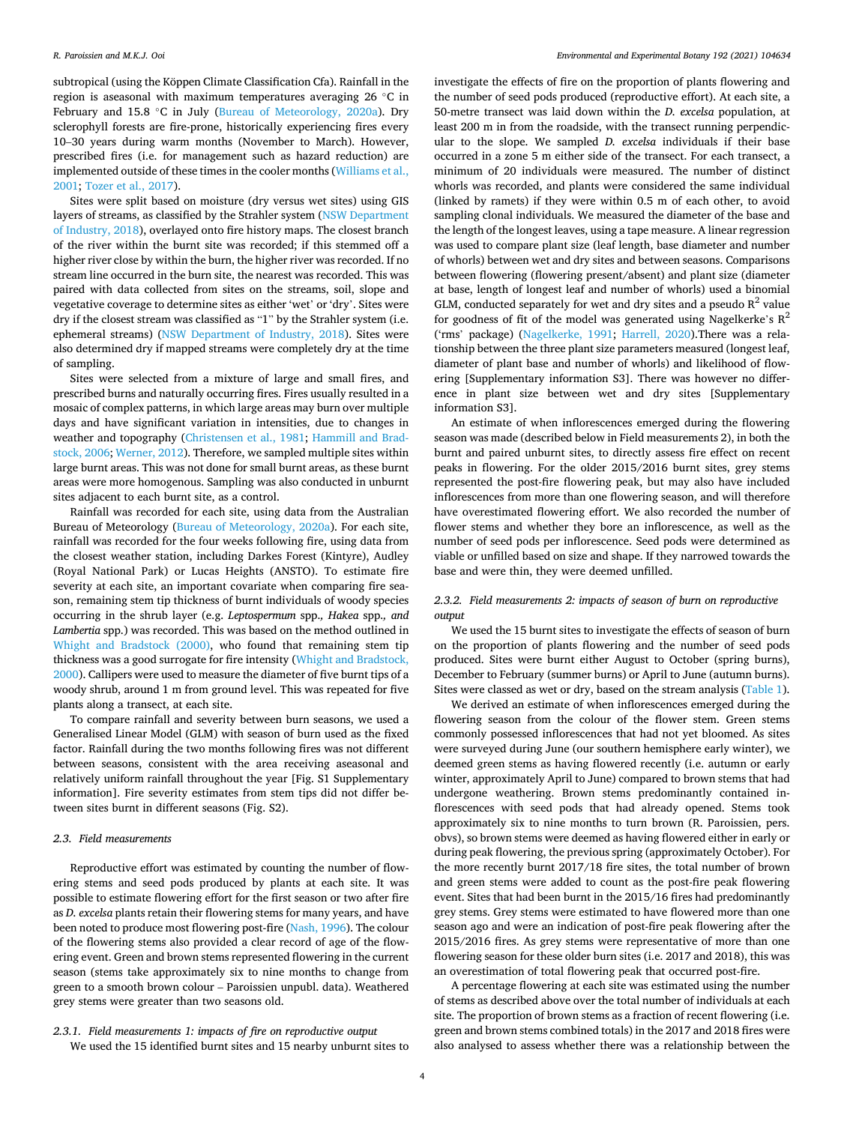subtropical (using the Köppen Climate Classification Cfa). Rainfall in the region is aseasonal with maximum temperatures averaging 26 ◦C in February and 15.8 ◦C in July [\(Bureau of Meteorology, 2020a\)](#page-8-0). Dry sclerophyll forests are fire-prone, historically experiencing fires every 10–30 years during warm months (November to March). However, prescribed fires (i.e. for management such as hazard reduction) are implemented outside of these times in the cooler months ([Williams et al.,](#page-9-0)  [2001; Tozer et al., 2017\)](#page-9-0).

Sites were split based on moisture (dry versus wet sites) using GIS layers of streams, as classified by the Strahler system ([NSW Department](#page-8-0)  [of Industry, 2018](#page-8-0)), overlayed onto fire history maps. The closest branch of the river within the burnt site was recorded; if this stemmed off a higher river close by within the burn, the higher river was recorded. If no stream line occurred in the burn site, the nearest was recorded. This was paired with data collected from sites on the streams, soil, slope and vegetative coverage to determine sites as either 'wet' or 'dry'. Sites were dry if the closest stream was classified as "1" by the Strahler system (i.e. ephemeral streams) [\(NSW Department of Industry, 2018](#page-8-0)). Sites were also determined dry if mapped streams were completely dry at the time of sampling.

Sites were selected from a mixture of large and small fires, and prescribed burns and naturally occurring fires. Fires usually resulted in a mosaic of complex patterns, in which large areas may burn over multiple days and have significant variation in intensities, due to changes in weather and topography ([Christensen et al., 1981](#page-8-0); [Hammill and Brad](#page-8-0)[stock, 2006;](#page-8-0) [Werner, 2012\)](#page-9-0). Therefore, we sampled multiple sites within large burnt areas. This was not done for small burnt areas, as these burnt areas were more homogenous. Sampling was also conducted in unburnt sites adjacent to each burnt site, as a control.

Rainfall was recorded for each site, using data from the Australian Bureau of Meteorology ([Bureau of Meteorology, 2020a](#page-8-0)). For each site, rainfall was recorded for the four weeks following fire, using data from the closest weather station, including Darkes Forest (Kintyre), Audley (Royal National Park) or Lucas Heights (ANSTO). To estimate fire severity at each site, an important covariate when comparing fire season, remaining stem tip thickness of burnt individuals of woody species occurring in the shrub layer (e.g. *Leptospermum* spp.*, Hakea* spp.*, and Lambertia* spp.) was recorded. This was based on the method outlined in [Whight and Bradstock \(2000\)](#page-9-0), who found that remaining stem tip thickness was a good surrogate for fire intensity [\(Whight and Bradstock,](#page-9-0)  [2000\)](#page-9-0). Callipers were used to measure the diameter of five burnt tips of a woody shrub, around 1 m from ground level. This was repeated for five plants along a transect, at each site.

To compare rainfall and severity between burn seasons, we used a Generalised Linear Model (GLM) with season of burn used as the fixed factor. Rainfall during the two months following fires was not different between seasons, consistent with the area receiving aseasonal and relatively uniform rainfall throughout the year [Fig. S1 Supplementary information]. Fire severity estimates from stem tips did not differ between sites burnt in different seasons (Fig. S2).

#### *2.3. Field measurements*

Reproductive effort was estimated by counting the number of flowering stems and seed pods produced by plants at each site. It was possible to estimate flowering effort for the first season or two after fire as *D. excelsa* plants retain their flowering stems for many years, and have been noted to produce most flowering post-fire ([Nash, 1996](#page-8-0)). The colour of the flowering stems also provided a clear record of age of the flowering event. Green and brown stems represented flowering in the current season (stems take approximately six to nine months to change from green to a smooth brown colour – Paroissien unpubl. data). Weathered grey stems were greater than two seasons old.

*2.3.1. Field measurements 1: impacts of fire on reproductive output*  We used the 15 identified burnt sites and 15 nearby unburnt sites to investigate the effects of fire on the proportion of plants flowering and the number of seed pods produced (reproductive effort). At each site, a 50-metre transect was laid down within the *D. excelsa* population, at least 200 m in from the roadside, with the transect running perpendicular to the slope. We sampled *D. excelsa* individuals if their base occurred in a zone 5 m either side of the transect. For each transect, a minimum of 20 individuals were measured. The number of distinct whorls was recorded, and plants were considered the same individual (linked by ramets) if they were within 0.5 m of each other, to avoid sampling clonal individuals. We measured the diameter of the base and the length of the longest leaves, using a tape measure. A linear regression was used to compare plant size (leaf length, base diameter and number of whorls) between wet and dry sites and between seasons. Comparisons between flowering (flowering present/absent) and plant size (diameter at base, length of longest leaf and number of whorls) used a binomial GLM, conducted separately for wet and dry sites and a pseudo  $R^2$  value for goodness of fit of the model was generated using Nagelkerke's  $R^2$ ('rms' package) [\(Nagelkerke, 1991;](#page-8-0) [Harrell, 2020\)](#page-8-0).There was a relationship between the three plant size parameters measured (longest leaf, diameter of plant base and number of whorls) and likelihood of flowering [Supplementary information S3]. There was however no difference in plant size between wet and dry sites [Supplementary information S3].

An estimate of when inflorescences emerged during the flowering season was made (described below in Field measurements 2), in both the burnt and paired unburnt sites, to directly assess fire effect on recent peaks in flowering. For the older 2015/2016 burnt sites, grey stems represented the post-fire flowering peak, but may also have included inflorescences from more than one flowering season, and will therefore have overestimated flowering effort. We also recorded the number of flower stems and whether they bore an inflorescence, as well as the number of seed pods per inflorescence. Seed pods were determined as viable or unfilled based on size and shape. If they narrowed towards the base and were thin, they were deemed unfilled.

#### *2.3.2. Field measurements 2: impacts of season of burn on reproductive output*

We used the 15 burnt sites to investigate the effects of season of burn on the proportion of plants flowering and the number of seed pods produced. Sites were burnt either August to October (spring burns), December to February (summer burns) or April to June (autumn burns). Sites were classed as wet or dry, based on the stream analysis [\(Table 1](#page-2-0)).

We derived an estimate of when inflorescences emerged during the flowering season from the colour of the flower stem. Green stems commonly possessed inflorescences that had not yet bloomed. As sites were surveyed during June (our southern hemisphere early winter), we deemed green stems as having flowered recently (i.e. autumn or early winter, approximately April to June) compared to brown stems that had undergone weathering. Brown stems predominantly contained inflorescences with seed pods that had already opened. Stems took approximately six to nine months to turn brown (R. Paroissien, pers. obvs), so brown stems were deemed as having flowered either in early or during peak flowering, the previous spring (approximately October). For the more recently burnt 2017/18 fire sites, the total number of brown and green stems were added to count as the post-fire peak flowering event. Sites that had been burnt in the 2015/16 fires had predominantly grey stems. Grey stems were estimated to have flowered more than one season ago and were an indication of post-fire peak flowering after the 2015/2016 fires. As grey stems were representative of more than one flowering season for these older burn sites (i.e. 2017 and 2018), this was an overestimation of total flowering peak that occurred post-fire.

A percentage flowering at each site was estimated using the number of stems as described above over the total number of individuals at each site. The proportion of brown stems as a fraction of recent flowering (i.e. green and brown stems combined totals) in the 2017 and 2018 fires were also analysed to assess whether there was a relationship between the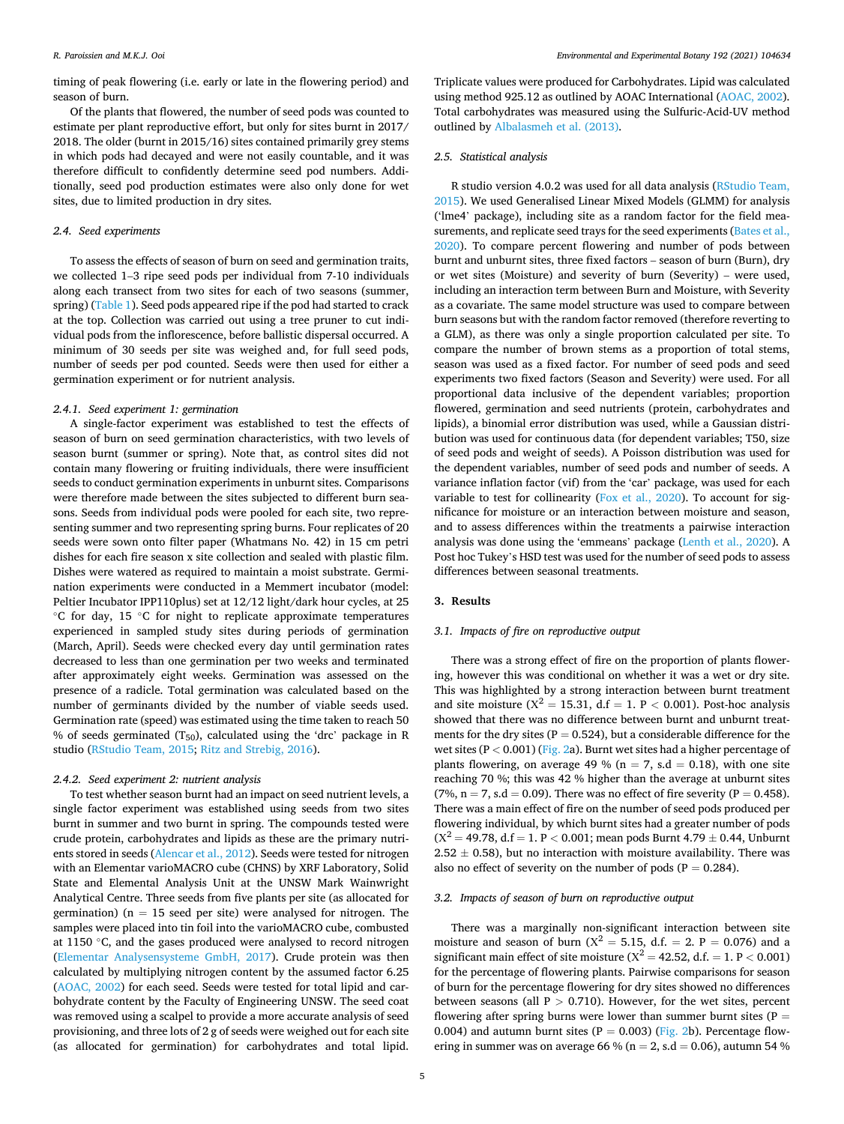*Environmental and Experimental Botany 192 (2021) 104634*

timing of peak flowering (i.e. early or late in the flowering period) and season of burn.

Of the plants that flowered, the number of seed pods was counted to estimate per plant reproductive effort, but only for sites burnt in 2017/ 2018. The older (burnt in 2015/16) sites contained primarily grey stems in which pods had decayed and were not easily countable, and it was therefore difficult to confidently determine seed pod numbers. Additionally, seed pod production estimates were also only done for wet sites, due to limited production in dry sites.

## *2.4. Seed experiments*

To assess the effects of season of burn on seed and germination traits, we collected 1–3 ripe seed pods per individual from 7-10 individuals along each transect from two sites for each of two seasons (summer, spring) [\(Table 1\)](#page-2-0). Seed pods appeared ripe if the pod had started to crack at the top. Collection was carried out using a tree pruner to cut individual pods from the inflorescence, before ballistic dispersal occurred. A minimum of 30 seeds per site was weighed and, for full seed pods, number of seeds per pod counted. Seeds were then used for either a germination experiment or for nutrient analysis.

#### *2.4.1. Seed experiment 1: germination*

A single-factor experiment was established to test the effects of season of burn on seed germination characteristics, with two levels of season burnt (summer or spring). Note that, as control sites did not contain many flowering or fruiting individuals, there were insufficient seeds to conduct germination experiments in unburnt sites. Comparisons were therefore made between the sites subjected to different burn seasons. Seeds from individual pods were pooled for each site, two representing summer and two representing spring burns. Four replicates of 20 seeds were sown onto filter paper (Whatmans No. 42) in 15 cm petri dishes for each fire season x site collection and sealed with plastic film. Dishes were watered as required to maintain a moist substrate. Germination experiments were conducted in a Memmert incubator (model: Peltier Incubator IPP110plus) set at 12/12 light/dark hour cycles, at 25 ◦C for day, 15 ◦C for night to replicate approximate temperatures experienced in sampled study sites during periods of germination (March, April). Seeds were checked every day until germination rates decreased to less than one germination per two weeks and terminated after approximately eight weeks. Germination was assessed on the presence of a radicle. Total germination was calculated based on the number of germinants divided by the number of viable seeds used. Germination rate (speed) was estimated using the time taken to reach 50 % of seeds germinated (T<sub>50</sub>), calculated using the 'drc' package in R studio ([RStudio Team, 2015;](#page-9-0) [Ritz and Strebig, 2016\)](#page-9-0).

### *2.4.2. Seed experiment 2: nutrient analysis*

To test whether season burnt had an impact on seed nutrient levels, a single factor experiment was established using seeds from two sites burnt in summer and two burnt in spring. The compounds tested were crude protein, carbohydrates and lipids as these are the primary nutrients stored in seeds [\(Alencar et al., 2012](#page-8-0)). Seeds were tested for nitrogen with an Elementar varioMACRO cube (CHNS) by XRF Laboratory, Solid State and Elemental Analysis Unit at the UNSW Mark Wainwright Analytical Centre. Three seeds from five plants per site (as allocated for germination) ( $n = 15$  seed per site) were analysed for nitrogen. The samples were placed into tin foil into the varioMACRO cube, combusted at 1150 ◦C, and the gases produced were analysed to record nitrogen ([Elementar Analysensysteme GmbH, 2017\)](#page-8-0). Crude protein was then calculated by multiplying nitrogen content by the assumed factor 6.25 ([AOAC, 2002](#page-8-0)) for each seed. Seeds were tested for total lipid and carbohydrate content by the Faculty of Engineering UNSW. The seed coat was removed using a scalpel to provide a more accurate analysis of seed provisioning, and three lots of 2 g of seeds were weighed out for each site (as allocated for germination) for carbohydrates and total lipid.

Triplicate values were produced for Carbohydrates. Lipid was calculated using method 925.12 as outlined by AOAC International ([AOAC, 2002](#page-8-0)). Total carbohydrates was measured using the Sulfuric-Acid-UV method outlined by [Albalasmeh et al. \(2013\).](#page-8-0)

## *2.5. Statistical analysis*

R studio version 4.0.2 was used for all data analysis ([RStudio Team,](#page-9-0)  [2015\)](#page-9-0). We used Generalised Linear Mixed Models (GLMM) for analysis ('lme4' package), including site as a random factor for the field measurements, and replicate seed trays for the seed experiments [\(Bates et al.,](#page-8-0)  [2020\)](#page-8-0). To compare percent flowering and number of pods between burnt and unburnt sites, three fixed factors – season of burn (Burn), dry or wet sites (Moisture) and severity of burn (Severity) – were used, including an interaction term between Burn and Moisture, with Severity as a covariate. The same model structure was used to compare between burn seasons but with the random factor removed (therefore reverting to a GLM), as there was only a single proportion calculated per site. To compare the number of brown stems as a proportion of total stems, season was used as a fixed factor. For number of seed pods and seed experiments two fixed factors (Season and Severity) were used. For all proportional data inclusive of the dependent variables; proportion flowered, germination and seed nutrients (protein, carbohydrates and lipids), a binomial error distribution was used, while a Gaussian distribution was used for continuous data (for dependent variables; T50, size of seed pods and weight of seeds). A Poisson distribution was used for the dependent variables, number of seed pods and number of seeds. A variance inflation factor (vif) from the 'car' package, was used for each variable to test for collinearity [\(Fox et al., 2020\)](#page-8-0). To account for significance for moisture or an interaction between moisture and season, and to assess differences within the treatments a pairwise interaction analysis was done using the 'emmeans' package ([Lenth et al., 2020\)](#page-8-0). A Post hoc Tukey's HSD test was used for the number of seed pods to assess differences between seasonal treatments.

#### **3. Results**

## *3.1. Impacts of fire on reproductive output*

There was a strong effect of fire on the proportion of plants flowering, however this was conditional on whether it was a wet or dry site. This was highlighted by a strong interaction between burnt treatment and site moisture  $(X^2 = 15.31, d.f = 1. P < 0.001)$ . Post-hoc analysis showed that there was no difference between burnt and unburnt treatments for the dry sites ( $P = 0.524$ ), but a considerable difference for the wet sites (P *<* 0.001) ([Fig. 2](#page-5-0)a). Burnt wet sites had a higher percentage of plants flowering, on average 49 % ( $n = 7$ , s.d = 0.18), with one site reaching 70 %; this was 42 % higher than the average at unburnt sites (7%,  $n = 7$ , s.d = 0.09). There was no effect of fire severity (P = 0.458). There was a main effect of fire on the number of seed pods produced per flowering individual, by which burnt sites had a greater number of pods  $(X^2 = 49.78, d.f = 1. P < 0.001;$  mean pods Burnt 4.79  $\pm$  0.44, Unburnt  $2.52 \pm 0.58$ ), but no interaction with moisture availability. There was also no effect of severity on the number of pods ( $P = 0.284$ ).

#### *3.2. Impacts of season of burn on reproductive output*

There was a marginally non-significant interaction between site moisture and season of burn ( $X^2 = 5.15$ , d.f. = 2. P = 0.076) and a significant main effect of site moisture ( $X^2 = 42.52$ , d.f. = 1. P < 0.001) for the percentage of flowering plants. Pairwise comparisons for season of burn for the percentage flowering for dry sites showed no differences between seasons (all P *>* 0.710). However, for the wet sites, percent flowering after spring burns were lower than summer burnt sites ( $P =$ 0.004) and autumn burnt sites ( $P = 0.003$ ) ([Fig. 2b](#page-5-0)). Percentage flowering in summer was on average 66 % ( $n = 2$ , s.d = 0.06), autumn 54 %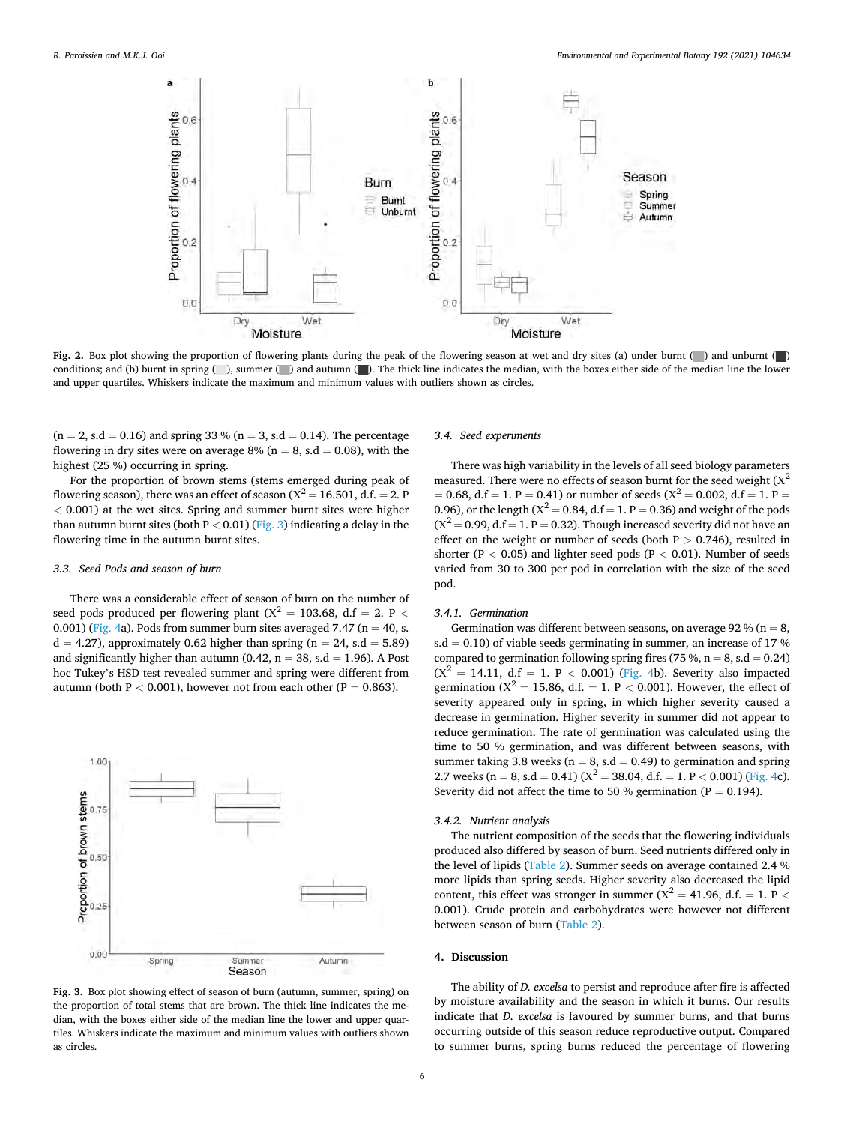<span id="page-5-0"></span>

**Fig. 2.** Box plot showing the proportion of flowering plants during the peak of the flowering season at wet and dry sites (a) under burnt (a) and unburnt (a) conditions; and (b) burnt in spring (), summer () and autumn (). The thick line indicates the median, with the boxes either side of the median line the lower and upper quartiles. Whiskers indicate the maximum and minimum values with outliers shown as circles.

 $(n = 2, s.d = 0.16)$  and spring 33 %  $(n = 3, s.d = 0.14)$ . The percentage flowering in dry sites were on average 8% ( $n = 8$ , s.d = 0.08), with the highest (25 %) occurring in spring.

For the proportion of brown stems (stems emerged during peak of flowering season), there was an effect of season  $(X^2 = 16.501, d.f. = 2.$  P *<* 0.001) at the wet sites. Spring and summer burnt sites were higher than autumn burnt sites (both  $P < 0.01$ ) (Fig. 3) indicating a delay in the flowering time in the autumn burnt sites.

#### *3.3. Seed Pods and season of burn*

There was a considerable effect of season of burn on the number of seed pods produced per flowering plant ( $X^2 = 103.68$ , d.f = 2. P < 0.001) ([Fig. 4](#page-6-0)a). Pods from summer burn sites averaged 7.47 ( $n = 40$ , s.  $d = 4.27$ ), approximately 0.62 higher than spring (n = 24, s.d = 5.89) and significantly higher than autumn (0.42,  $n = 38$ , s.d = 1.96). A Post hoc Tukey's HSD test revealed summer and spring were different from autumn (both  $P < 0.001$ ), however not from each other ( $P = 0.863$ ).



**Fig. 3.** Box plot showing effect of season of burn (autumn, summer, spring) on the proportion of total stems that are brown. The thick line indicates the median, with the boxes either side of the median line the lower and upper quartiles. Whiskers indicate the maximum and minimum values with outliers shown as circles.

#### *3.4. Seed experiments*

There was high variability in the levels of all seed biology parameters measured. There were no effects of season burnt for the seed weight  $(X^2)$  $= 0.68$ , d.f  $= 1$ . P  $= 0.41$ ) or number of seeds ( $X^2 = 0.002$ , d.f  $= 1$ . P  $= 1$ 0.96), or the length ( $X^2 = 0.84$ , d.f = 1. P = 0.36) and weight of the pods  $(X^2 = 0.99, d.f = 1, P = 0.32)$ . Though increased severity did not have an effect on the weight or number of seeds (both P *>* 0.746), resulted in shorter ( $P < 0.05$ ) and lighter seed pods ( $P < 0.01$ ). Number of seeds varied from 30 to 300 per pod in correlation with the size of the seed pod.

#### *3.4.1. Germination*

Germination was different between seasons, on average 92 % ( $n = 8$ , s.d = 0.10) of viable seeds germinating in summer, an increase of 17  $%$ compared to germination following spring fires (75 %,  $n = 8$ , s.d = 0.24)  $(X^2 = 14.11, d.f = 1, P < 0.001)$  [\(Fig. 4b](#page-6-0)). Severity also impacted germination ( $X^2 = 15.86$ , d.f. = 1. P < 0.001). However, the effect of severity appeared only in spring, in which higher severity caused a decrease in germination. Higher severity in summer did not appear to reduce germination. The rate of germination was calculated using the time to 50 % germination, and was different between seasons, with summer taking 3.8 weeks ( $n = 8$ , s.d = 0.49) to germination and spring 2.7 weeks (n = 8, s.d = 0.41) ( $X^2$  = 38.04, d.f. = 1, P < 0.001) [\(Fig. 4c](#page-6-0)). Severity did not affect the time to 50 % germination ( $P = 0.194$ ).

#### *3.4.2. Nutrient analysis*

The nutrient composition of the seeds that the flowering individuals produced also differed by season of burn. Seed nutrients differed only in the level of lipids [\(Table 2](#page-6-0)). Summer seeds on average contained 2.4 % more lipids than spring seeds. Higher severity also decreased the lipid content, this effect was stronger in summer  $(X^2 = 41.96, d.f. = 1, P \leq$ 0.001). Crude protein and carbohydrates were however not different between season of burn [\(Table 2\)](#page-6-0).

#### **4. Discussion**

The ability of *D. excelsa* to persist and reproduce after fire is affected by moisture availability and the season in which it burns. Our results indicate that *D. excelsa* is favoured by summer burns, and that burns occurring outside of this season reduce reproductive output. Compared to summer burns, spring burns reduced the percentage of flowering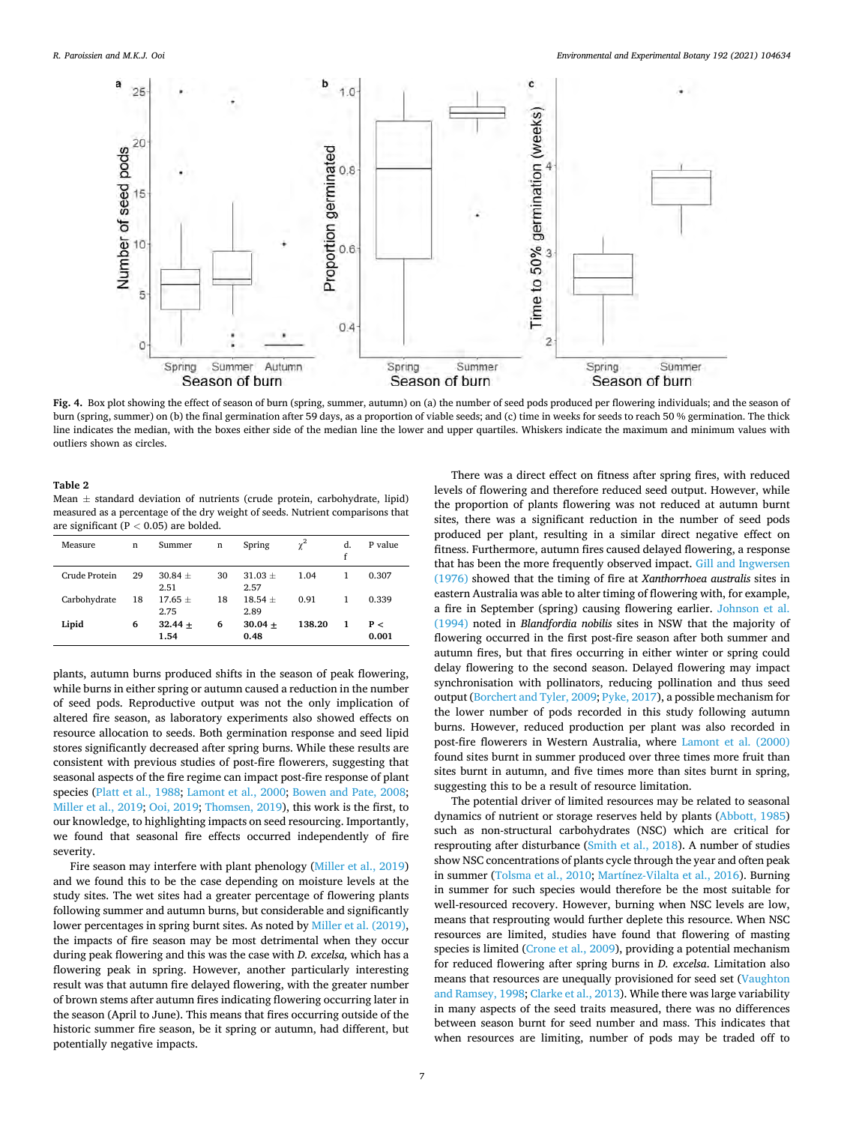<span id="page-6-0"></span>

**Fig. 4.** Box plot showing the effect of season of burn (spring, summer, autumn) on (a) the number of seed pods produced per flowering individuals; and the season of burn (spring, summer) on (b) the final germination after 59 days, as a proportion of viable seeds; and (c) time in weeks for seeds to reach 50 % germination. The thick line indicates the median, with the boxes either side of the median line the lower and upper quartiles. Whiskers indicate the maximum and minimum values with outliers shown as circles.

#### **Table 2**

Mean  $\pm$  standard deviation of nutrients (crude protein, carbohydrate, lipid) measured as a percentage of the dry weight of seeds. Nutrient comparisons that are significant (P *<* 0.05) are bolded.

| Measure       | n  | Summer              | n  | Spring            | $\gamma^2$ | d.<br>f | P value      |
|---------------|----|---------------------|----|-------------------|------------|---------|--------------|
| Crude Protein | 29 | $30.84 +$<br>2.51   | 30 | $31.03 +$<br>2.57 | 1.04       | 1       | 0.307        |
| Carbohydrate  | 18 | $17.65 \pm$<br>2.75 | 18 | $18.54 +$<br>2.89 | 0.91       |         | 0.339        |
| Lipid         | 6  | $32.44 +$<br>1.54   | 6  | $30.04 +$<br>0.48 | 138.20     | 1       | P <<br>0.001 |

plants, autumn burns produced shifts in the season of peak flowering, while burns in either spring or autumn caused a reduction in the number of seed pods. Reproductive output was not the only implication of altered fire season, as laboratory experiments also showed effects on resource allocation to seeds. Both germination response and seed lipid stores significantly decreased after spring burns. While these results are consistent with previous studies of post-fire flowerers, suggesting that seasonal aspects of the fire regime can impact post-fire response of plant species ([Platt et al., 1988](#page-9-0); [Lamont et al., 2000;](#page-8-0) [Bowen and Pate, 2008](#page-8-0); [Miller et al., 2019; Ooi, 2019](#page-8-0); [Thomsen, 2019](#page-9-0)), this work is the first, to our knowledge, to highlighting impacts on seed resourcing. Importantly, we found that seasonal fire effects occurred independently of fire severity.

Fire season may interfere with plant phenology [\(Miller et al., 2019\)](#page-8-0) and we found this to be the case depending on moisture levels at the study sites. The wet sites had a greater percentage of flowering plants following summer and autumn burns, but considerable and significantly lower percentages in spring burnt sites. As noted by [Miller et al. \(2019\)](#page-8-0), the impacts of fire season may be most detrimental when they occur during peak flowering and this was the case with *D. excelsa,* which has a flowering peak in spring. However, another particularly interesting result was that autumn fire delayed flowering, with the greater number of brown stems after autumn fires indicating flowering occurring later in the season (April to June). This means that fires occurring outside of the historic summer fire season, be it spring or autumn, had different, but potentially negative impacts.

There was a direct effect on fitness after spring fires, with reduced levels of flowering and therefore reduced seed output. However, while the proportion of plants flowering was not reduced at autumn burnt sites, there was a significant reduction in the number of seed pods produced per plant, resulting in a similar direct negative effect on fitness. Furthermore, autumn fires caused delayed flowering, a response that has been the more frequently observed impact. [Gill and Ingwersen](#page-8-0)  [\(1976\)](#page-8-0) showed that the timing of fire at *Xanthorrhoea australis* sites in eastern Australia was able to alter timing of flowering with, for example, a fire in September (spring) causing flowering earlier. [Johnson et al.](#page-8-0)  [\(1994\)](#page-8-0) noted in *Blandfordia nobilis* sites in NSW that the majority of flowering occurred in the first post-fire season after both summer and autumn fires, but that fires occurring in either winter or spring could delay flowering to the second season. Delayed flowering may impact synchronisation with pollinators, reducing pollination and thus seed output [\(Borchert and Tyler, 2009](#page-8-0); [Pyke, 2017\)](#page-9-0), a possible mechanism for the lower number of pods recorded in this study following autumn burns. However, reduced production per plant was also recorded in post-fire flowerers in Western Australia, where [Lamont et al. \(2000\)](#page-8-0)  found sites burnt in summer produced over three times more fruit than sites burnt in autumn, and five times more than sites burnt in spring, suggesting this to be a result of resource limitation.

The potential driver of limited resources may be related to seasonal dynamics of nutrient or storage reserves held by plants ([Abbott, 1985\)](#page-8-0) such as non-structural carbohydrates (NSC) which are critical for resprouting after disturbance ([Smith et al., 2018](#page-9-0)). A number of studies show NSC concentrations of plants cycle through the year and often peak in summer ([Tolsma et al., 2010;](#page-9-0) [Martínez-Vilalta et al., 2016\)](#page-8-0). Burning in summer for such species would therefore be the most suitable for well-resourced recovery. However, burning when NSC levels are low, means that resprouting would further deplete this resource. When NSC resources are limited, studies have found that flowering of masting species is limited [\(Crone et al., 2009](#page-8-0)), providing a potential mechanism for reduced flowering after spring burns in *D. excelsa*. Limitation also means that resources are unequally provisioned for seed set [\(Vaughton](#page-9-0)  [and Ramsey, 1998;](#page-9-0) [Clarke et al., 2013\)](#page-8-0). While there was large variability in many aspects of the seed traits measured, there was no differences between season burnt for seed number and mass. This indicates that when resources are limiting, number of pods may be traded off to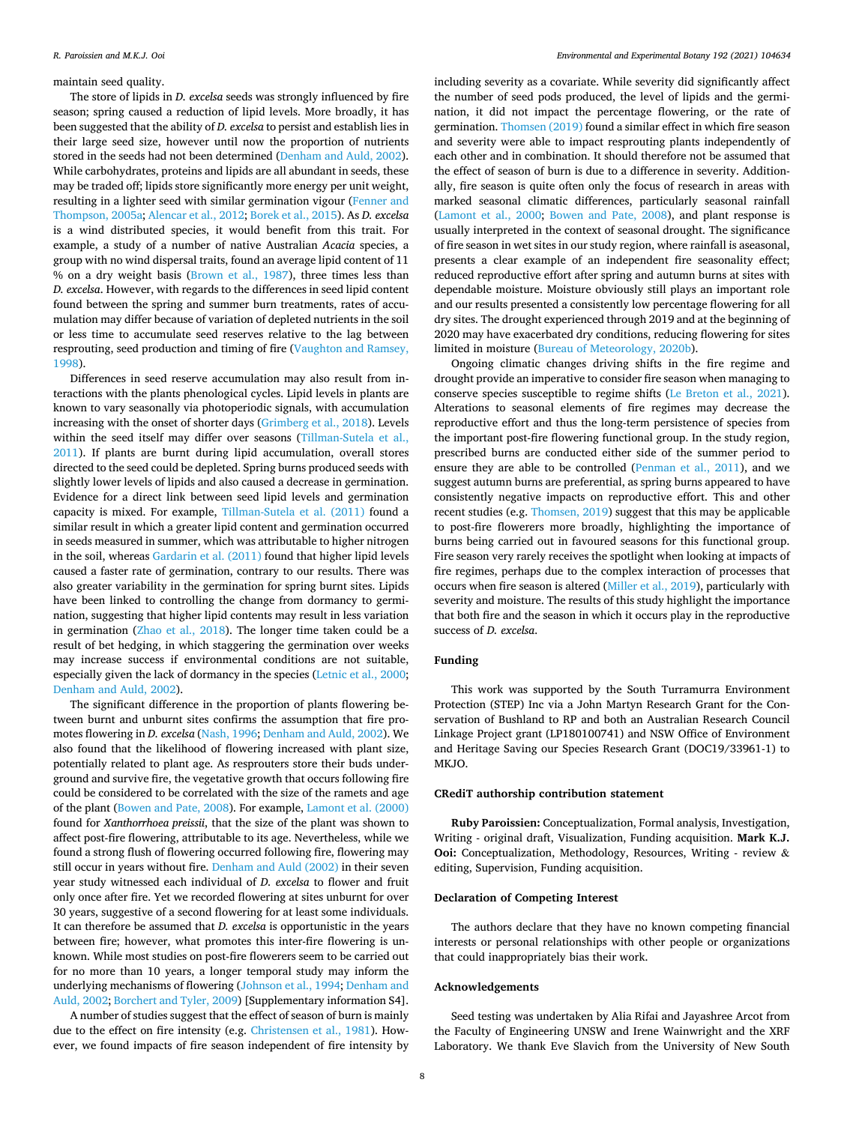maintain seed quality.

The store of lipids in *D. excelsa* seeds was strongly influenced by fire season; spring caused a reduction of lipid levels. More broadly, it has been suggested that the ability of *D. excelsa* to persist and establish lies in their large seed size, however until now the proportion of nutrients stored in the seeds had not been determined ([Denham and Auld, 2002](#page-8-0)). While carbohydrates, proteins and lipids are all abundant in seeds, these may be traded off; lipids store significantly more energy per unit weight, resulting in a lighter seed with similar germination vigour ([Fenner and](#page-8-0)  [Thompson, 2005a; Alencar et al., 2012; Borek et al., 2015](#page-8-0)). As *D. excelsa*  is a wind distributed species, it would benefit from this trait. For example, a study of a number of native Australian *Acacia* species, a group with no wind dispersal traits, found an average lipid content of 11 % on a dry weight basis ([Brown et al., 1987\)](#page-8-0), three times less than *D. excelsa*. However, with regards to the differences in seed lipid content found between the spring and summer burn treatments, rates of accumulation may differ because of variation of depleted nutrients in the soil or less time to accumulate seed reserves relative to the lag between resprouting, seed production and timing of fire ([Vaughton and Ramsey,](#page-9-0)  [1998\)](#page-9-0).

Differences in seed reserve accumulation may also result from interactions with the plants phenological cycles. Lipid levels in plants are known to vary seasonally via photoperiodic signals, with accumulation increasing with the onset of shorter days ([Grimberg et al., 2018\)](#page-8-0). Levels within the seed itself may differ over seasons [\(Tillman-Sutela et al.,](#page-9-0)  [2011\)](#page-9-0). If plants are burnt during lipid accumulation, overall stores directed to the seed could be depleted. Spring burns produced seeds with slightly lower levels of lipids and also caused a decrease in germination. Evidence for a direct link between seed lipid levels and germination capacity is mixed. For example, [Tillman-Sutela et al. \(2011\)](#page-9-0) found a similar result in which a greater lipid content and germination occurred in seeds measured in summer, which was attributable to higher nitrogen in the soil, whereas [Gardarin et al. \(2011\)](#page-8-0) found that higher lipid levels caused a faster rate of germination, contrary to our results. There was also greater variability in the germination for spring burnt sites. Lipids have been linked to controlling the change from dormancy to germination, suggesting that higher lipid contents may result in less variation in germination ([Zhao et al., 2018\)](#page-9-0). The longer time taken could be a result of bet hedging, in which staggering the germination over weeks may increase success if environmental conditions are not suitable, especially given the lack of dormancy in the species [\(Letnic et al., 2000](#page-8-0); [Denham and Auld, 2002](#page-8-0)).

The significant difference in the proportion of plants flowering between burnt and unburnt sites confirms the assumption that fire promotes flowering in *D. excelsa* [\(Nash, 1996; Denham and Auld, 2002](#page-8-0)). We also found that the likelihood of flowering increased with plant size, potentially related to plant age. As resprouters store their buds underground and survive fire, the vegetative growth that occurs following fire could be considered to be correlated with the size of the ramets and age of the plant [\(Bowen and Pate, 2008\)](#page-8-0). For example, [Lamont et al. \(2000\)](#page-8-0)  found for *Xanthorrhoea preissii*, that the size of the plant was shown to affect post-fire flowering, attributable to its age. Nevertheless, while we found a strong flush of flowering occurred following fire, flowering may still occur in years without fire. [Denham and Auld \(2002\)](#page-8-0) in their seven year study witnessed each individual of *D. excelsa* to flower and fruit only once after fire. Yet we recorded flowering at sites unburnt for over 30 years, suggestive of a second flowering for at least some individuals. It can therefore be assumed that *D. excelsa* is opportunistic in the years between fire; however, what promotes this inter-fire flowering is unknown. While most studies on post-fire flowerers seem to be carried out for no more than 10 years, a longer temporal study may inform the underlying mechanisms of flowering [\(Johnson et al., 1994](#page-8-0); [Denham and](#page-8-0)  [Auld, 2002](#page-8-0); [Borchert and Tyler, 2009\)](#page-8-0) [Supplementary information S4].

A number of studies suggest that the effect of season of burn is mainly due to the effect on fire intensity (e.g. [Christensen et al., 1981\)](#page-8-0). However, we found impacts of fire season independent of fire intensity by

including severity as a covariate. While severity did significantly affect the number of seed pods produced, the level of lipids and the germination, it did not impact the percentage flowering, or the rate of germination. [Thomsen \(2019\)](#page-9-0) found a similar effect in which fire season and severity were able to impact resprouting plants independently of each other and in combination. It should therefore not be assumed that the effect of season of burn is due to a difference in severity. Additionally, fire season is quite often only the focus of research in areas with marked seasonal climatic differences, particularly seasonal rainfall ([Lamont et al., 2000](#page-8-0); [Bowen and Pate, 2008\)](#page-8-0), and plant response is usually interpreted in the context of seasonal drought. The significance of fire season in wet sites in our study region, where rainfall is aseasonal, presents a clear example of an independent fire seasonality effect; reduced reproductive effort after spring and autumn burns at sites with dependable moisture. Moisture obviously still plays an important role and our results presented a consistently low percentage flowering for all dry sites. The drought experienced through 2019 and at the beginning of 2020 may have exacerbated dry conditions, reducing flowering for sites limited in moisture ([Bureau of Meteorology, 2020b\)](#page-8-0).

Ongoing climatic changes driving shifts in the fire regime and drought provide an imperative to consider fire season when managing to conserve species susceptible to regime shifts ([Le Breton et al., 2021](#page-8-0)). Alterations to seasonal elements of fire regimes may decrease the reproductive effort and thus the long-term persistence of species from the important post-fire flowering functional group. In the study region, prescribed burns are conducted either side of the summer period to ensure they are able to be controlled ([Penman et al., 2011\)](#page-9-0), and we suggest autumn burns are preferential, as spring burns appeared to have consistently negative impacts on reproductive effort. This and other recent studies (e.g. [Thomsen, 2019](#page-9-0)) suggest that this may be applicable to post-fire flowerers more broadly, highlighting the importance of burns being carried out in favoured seasons for this functional group. Fire season very rarely receives the spotlight when looking at impacts of fire regimes, perhaps due to the complex interaction of processes that occurs when fire season is altered ([Miller et al., 2019](#page-8-0)), particularly with severity and moisture. The results of this study highlight the importance that both fire and the season in which it occurs play in the reproductive success of *D. excelsa*.

## **Funding**

This work was supported by the South Turramurra Environment Protection (STEP) Inc via a John Martyn Research Grant for the Conservation of Bushland to RP and both an Australian Research Council Linkage Project grant (LP180100741) and NSW Office of Environment and Heritage Saving our Species Research Grant (DOC19/33961-1) to MKJO.

#### **CRediT authorship contribution statement**

**Ruby Paroissien:** Conceptualization, Formal analysis, Investigation, Writing - original draft, Visualization, Funding acquisition. **Mark K.J. Ooi:** Conceptualization, Methodology, Resources, Writing - review & editing, Supervision, Funding acquisition.

## **Declaration of Competing Interest**

The authors declare that they have no known competing financial interests or personal relationships with other people or organizations that could inappropriately bias their work.

#### **Acknowledgements**

Seed testing was undertaken by Alia Rifai and Jayashree Arcot from the Faculty of Engineering UNSW and Irene Wainwright and the XRF Laboratory. We thank Eve Slavich from the University of New South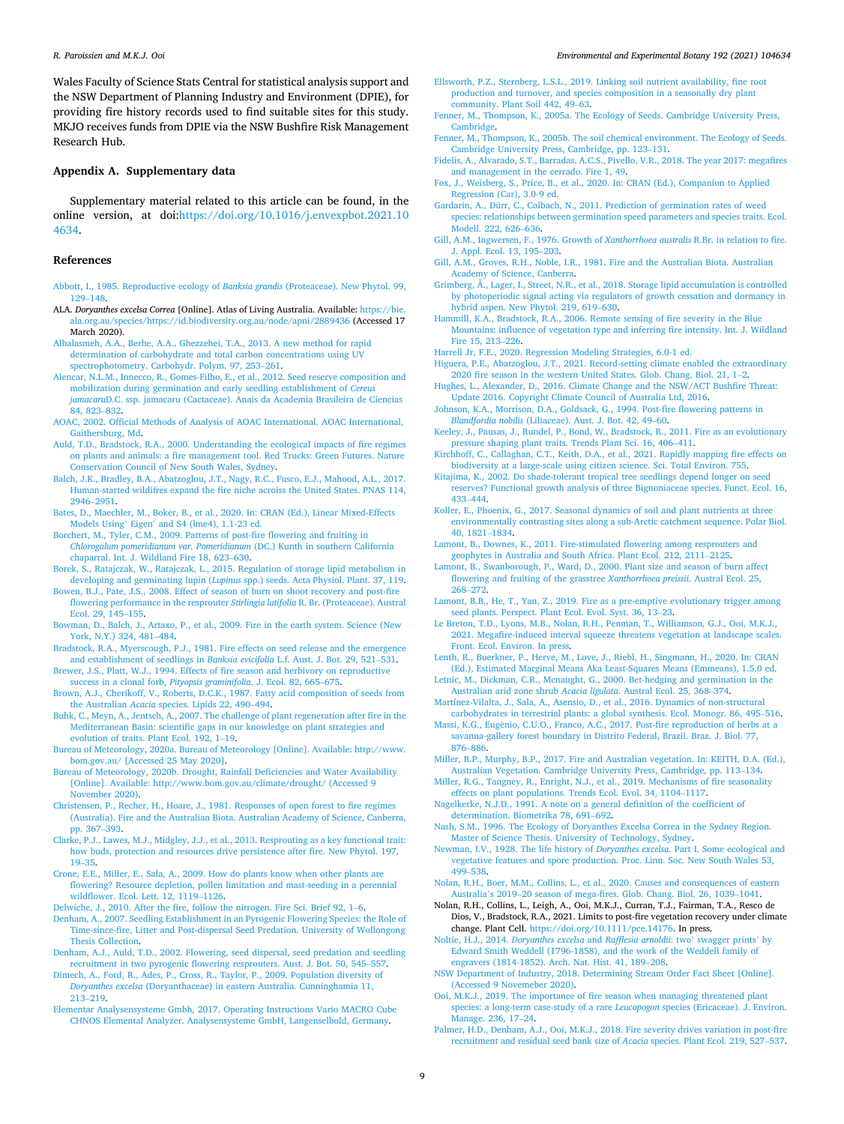<span id="page-8-0"></span>Wales Faculty of Science Stats Central for statistical analysis support and the NSW Department of Planning Industry and Environment (DPIE), for providing fire history records used to find suitable sites for this study. MKJO receives funds from DPIE via the NSW Bushfire Risk Management Research Hub.

#### **Appendix A. Supplementary data**

Supplementary material related to this article can be found, in the online version, at doi[:https://doi.org/10.1016/j.envexpbot.2021.10](https://doi.org/10.1016/j.envexpbot.2021.104634)  [4634.](https://doi.org/10.1016/j.envexpbot.2021.104634)

#### **References**

- [Abbott, I., 1985. Reproductive ecology of](http://refhub.elsevier.com/S0098-8472(21)00264-1/sbref0005) *Banksia grandis* (Proteaceae). New Phytol. 99, 129–[148](http://refhub.elsevier.com/S0098-8472(21)00264-1/sbref0005).
- ALA. *Doryanthes excelsa Correa* [Online]. Atlas of Living Australia. Available: [https://bie.](https://bie.ala.org.au/species/https://id.biodiversity.org.au/node/apni/2889436)  [ala.org.au/species/https://id.biodiversity.org.au/node/apni/2889436](https://bie.ala.org.au/species/https://id.biodiversity.org.au/node/apni/2889436) (Accessed 17 March 2020).
- [Albalasmeh, A.A., Berhe, A.A., Ghezzehei, T.A., 2013. A new method for rapid](http://refhub.elsevier.com/S0098-8472(21)00264-1/sbref0015) [determination of carbohydrate and total carbon concentrations using UV](http://refhub.elsevier.com/S0098-8472(21)00264-1/sbref0015) [spectrophotometry. Carbohydr. Polym. 97, 253](http://refhub.elsevier.com/S0098-8472(21)00264-1/sbref0015)–261.
- [Alencar, N.L.M., Innecco, R., Gomes-Filho, E., et al., 2012. Seed reserve composition and](http://refhub.elsevier.com/S0098-8472(21)00264-1/sbref0020)  [mobilization during germination and early seedling establishment of](http://refhub.elsevier.com/S0098-8472(21)00264-1/sbref0020) *Cereus jamacaru*[D.C. ssp. jamacaru \(Cactaceae\). Anais da Academia Brasileira de Ciencias](http://refhub.elsevier.com/S0098-8472(21)00264-1/sbref0020) [84, 823](http://refhub.elsevier.com/S0098-8472(21)00264-1/sbref0020)–832.
- [AOAC, 2002. Official Methods of Analysis of AOAC International. AOAC International,](http://refhub.elsevier.com/S0098-8472(21)00264-1/sbref0025)  [Gaithersburg, Md](http://refhub.elsevier.com/S0098-8472(21)00264-1/sbref0025).
- [Auld, T.D., Bradstock, R.A., 2000. Understanding the ecological impacts of fire regimes](http://refhub.elsevier.com/S0098-8472(21)00264-1/sbref0030)  [on plants and animals: a fire management tool. Red Trucks: Green Futures. Nature](http://refhub.elsevier.com/S0098-8472(21)00264-1/sbref0030)  [Conservation Council of New South Wales, Sydney](http://refhub.elsevier.com/S0098-8472(21)00264-1/sbref0030).
- [Balch, J.K., Bradley, B.A., Abatzoglou, J.T., Nagy, R.C., Fusco, E.J., Mahood, A.L., 2017.](http://refhub.elsevier.com/S0098-8472(21)00264-1/sbref0035)  [Human-started wildifres expand the fire niche acroiss the United States. PNAS 114,](http://refhub.elsevier.com/S0098-8472(21)00264-1/sbref0035)  [2946](http://refhub.elsevier.com/S0098-8472(21)00264-1/sbref0035)–2951.
- [Bates, D., Maechler, M., Boker, B., et al., 2020. In: CRAN \(Ed.\), Linear Mixed-Effects](http://refhub.elsevier.com/S0098-8472(21)00264-1/sbref0040)  Models Using' Eigen' [and S4 \(lme4\), 1.1-23 ed.](http://refhub.elsevier.com/S0098-8472(21)00264-1/sbref0040)
- [Borchert, M., Tyler, C.M., 2009. Patterns of post-fire flowering and fruiting in](http://refhub.elsevier.com/S0098-8472(21)00264-1/sbref0045)  *[Chlorogalum pomeridianum var. Pomeridianum](http://refhub.elsevier.com/S0098-8472(21)00264-1/sbref0045)* (DC.) Kunth in southern California [chaparral. Int. J. Wildland Fire 18, 623](http://refhub.elsevier.com/S0098-8472(21)00264-1/sbref0045)–630.
- [Borek, S., Ratajczak, W., Ratajczak, L., 2015. Regulation of storage lipid metabolism in](http://refhub.elsevier.com/S0098-8472(21)00264-1/sbref0050) developing and germinating lupin (*Lupinus* [spp.\) seeds. Acta Physiol. Plant. 37, 119.](http://refhub.elsevier.com/S0098-8472(21)00264-1/sbref0050)
- [Bowen, B.J., Pate, J.S., 2008. Effect of season of burn on shoot recovery and post-fire](http://refhub.elsevier.com/S0098-8472(21)00264-1/sbref0055) [flowering performance in the resprouter](http://refhub.elsevier.com/S0098-8472(21)00264-1/sbref0055) *Stirlingia latifolia* R. Br. (Proteaceae). Austral [Ecol. 29, 145](http://refhub.elsevier.com/S0098-8472(21)00264-1/sbref0055)–155.
- [Bowman, D., Balch, J., Artaxo, P., et al., 2009. Fire in the earth system. Science \(New](http://refhub.elsevier.com/S0098-8472(21)00264-1/sbref0060) [York, N.Y.\) 324, 481](http://refhub.elsevier.com/S0098-8472(21)00264-1/sbref0060)–484.
- [Bradstock, R.A., Myerscough, P.J., 1981. Fire effects on seed release and the emergence](http://refhub.elsevier.com/S0098-8472(21)00264-1/sbref0065)  [and establishment of seedlings in](http://refhub.elsevier.com/S0098-8472(21)00264-1/sbref0065) *Banksia evicifolia* L.f. Aust. J. Bot. 29, 521–531. [Brewer, J.S., Platt, W.J., 1994. Effects of fire season and herbivory on reproductive](http://refhub.elsevier.com/S0098-8472(21)00264-1/sbref0070)
- [success in a clonal forb,](http://refhub.elsevier.com/S0098-8472(21)00264-1/sbref0070) *Pityopsis graminifolia*. J. Ecol. 82, 665–675. [Brown, A.J., Cherikoff, V., Roberts, D.C.K., 1987. Fatty acid composition of seeds from](http://refhub.elsevier.com/S0098-8472(21)00264-1/sbref0075)
- the Australian *Acacia* [species. Lipids 22, 490](http://refhub.elsevier.com/S0098-8472(21)00264-1/sbref0075)–494.
- [Buhk, C., Meyn, A., Jentsch, A., 2007. The challenge of plant regeneration after fire in the](http://refhub.elsevier.com/S0098-8472(21)00264-1/sbref0080)  [Mediterranean Basin: scientific gaps in our knowledge on plant strategies and](http://refhub.elsevier.com/S0098-8472(21)00264-1/sbref0080)  [evolution of traits. Plant Ecol. 192, 1](http://refhub.elsevier.com/S0098-8472(21)00264-1/sbref0080)–19.
- [Bureau of Meteorology, 2020a. Bureau of Meteorology \[Online\]. Available: http://www.](http://refhub.elsevier.com/S0098-8472(21)00264-1/sbref0085)  [bom.gov.au/ \[Accessed 25 May 2020\].](http://refhub.elsevier.com/S0098-8472(21)00264-1/sbref0085)
- [Bureau of Meteorology, 2020b. Drought, Rainfall Deficiencies and Water Availability](http://refhub.elsevier.com/S0098-8472(21)00264-1/sbref0090) [\[Online\]. Available: http://www.bom.gov.au/climate/drought/ \(Accessed 9](http://refhub.elsevier.com/S0098-8472(21)00264-1/sbref0090) [November 2020\).](http://refhub.elsevier.com/S0098-8472(21)00264-1/sbref0090)
- [Christensen, P., Recher, H., Hoare, J., 1981. Responses of open forest to fire regimes](http://refhub.elsevier.com/S0098-8472(21)00264-1/sbref0095) [\(Australia\). Fire and the Australian Biota. Australian Academy of Science, Canberra,](http://refhub.elsevier.com/S0098-8472(21)00264-1/sbref0095)  [pp. 367](http://refhub.elsevier.com/S0098-8472(21)00264-1/sbref0095)–393.
- [Clarke, P.J., Lawes, M.J., Midgley, J.J., et al., 2013. Resprouting as a key functional trait:](http://refhub.elsevier.com/S0098-8472(21)00264-1/sbref0100)  [how buds, protection and resources drive persistence after fire. New Phytol. 197,](http://refhub.elsevier.com/S0098-8472(21)00264-1/sbref0100) 19–[35](http://refhub.elsevier.com/S0098-8472(21)00264-1/sbref0100).
- [Crone, E.E., Miller, E., Sala, A., 2009. How do plants know when other plants are](http://refhub.elsevier.com/S0098-8472(21)00264-1/sbref0105) [flowering? Resource depletion, pollen limitation and mast-seeding in a perennial](http://refhub.elsevier.com/S0098-8472(21)00264-1/sbref0105) [wildflower. Ecol. Lett. 12, 1119](http://refhub.elsevier.com/S0098-8472(21)00264-1/sbref0105)–1126.
- [Delwiche, J., 2010. After the fire, follow the nitrogen. Fire Sci. Brief 92, 1](http://refhub.elsevier.com/S0098-8472(21)00264-1/sbref0110)–6.
- [Denham, A., 2007. Seedling Establishment in an Pyrogenic Flowering Species: the Role of](http://refhub.elsevier.com/S0098-8472(21)00264-1/sbref0115)  [Time-since-fire, Litter and Post-dispersal Seed Predation. University of Wollongong](http://refhub.elsevier.com/S0098-8472(21)00264-1/sbref0115) [Thesis Collection.](http://refhub.elsevier.com/S0098-8472(21)00264-1/sbref0115)
- [Denham, A.J., Auld, T.D., 2002. Flowering, seed dispersal, seed predation and seedling](http://refhub.elsevier.com/S0098-8472(21)00264-1/sbref0120) [recruitment in two pyrogenic flowering resprouters. Aust. J. Bot. 50, 545](http://refhub.elsevier.com/S0098-8472(21)00264-1/sbref0120)–557.
- [Dimech, A., Ford, R., Ades, P., Cross, R., Taylor, P., 2009. Population diversity of](http://refhub.elsevier.com/S0098-8472(21)00264-1/sbref0125) *Doryanthes excelsa* [\(Doryanthaceae\) in eastern Australia. Cunninghamia 11,](http://refhub.elsevier.com/S0098-8472(21)00264-1/sbref0125)  213–[219](http://refhub.elsevier.com/S0098-8472(21)00264-1/sbref0125).
- [Elementar Analysensysteme Gmbh, 2017. Operating Instructions Vario MACRO Cube](http://refhub.elsevier.com/S0098-8472(21)00264-1/sbref0130) [CHNOS Elemental Analyzer. Analysensysteme GmbH, Langenselbold, Germany](http://refhub.elsevier.com/S0098-8472(21)00264-1/sbref0130).
- [Ellsworth, P.Z., Sternberg, L.S.L., 2019. Linking soil nutrient availability, fine root](http://refhub.elsevier.com/S0098-8472(21)00264-1/sbref0135) [production and turnover, and species composition in a seasonally dry plant](http://refhub.elsevier.com/S0098-8472(21)00264-1/sbref0135)  [community. Plant Soil 442, 49](http://refhub.elsevier.com/S0098-8472(21)00264-1/sbref0135)–63.
- [Fenner, M., Thompson, K., 2005a. The Ecology of Seeds. Cambridge University Press,](http://refhub.elsevier.com/S0098-8472(21)00264-1/sbref0140)  [Cambridge](http://refhub.elsevier.com/S0098-8472(21)00264-1/sbref0140).
- [Fenner, M., Thompson, K., 2005b. The soil chemical environment. The Ecology of Seeds.](http://refhub.elsevier.com/S0098-8472(21)00264-1/sbref0145)  [Cambridge University Press, Cambridge, pp. 123](http://refhub.elsevier.com/S0098-8472(21)00264-1/sbref0145)–131.
- [Fidelis, A., Alvarado, S.T., Barradas, A.C.S., Pivello, V.R., 2018. The year 2017: megafires](http://refhub.elsevier.com/S0098-8472(21)00264-1/sbref0150)  [and management in the cerrado. Fire 1, 49](http://refhub.elsevier.com/S0098-8472(21)00264-1/sbref0150).
- [Fox, J., Weisberg, S., Price, B., et al., 2020. In: CRAN \(Ed.\), Companion to Applied](http://refhub.elsevier.com/S0098-8472(21)00264-1/sbref0155) [Regression \(Car\), 3.0-9 ed.](http://refhub.elsevier.com/S0098-8472(21)00264-1/sbref0155)
- [Gardarin, A., Dürr, C., Colbach, N., 2011. Prediction of germination rates of weed](http://refhub.elsevier.com/S0098-8472(21)00264-1/sbref0160)  [species: relationships between germination speed parameters and species traits. Ecol.](http://refhub.elsevier.com/S0098-8472(21)00264-1/sbref0160)  [Modell. 222, 626](http://refhub.elsevier.com/S0098-8472(21)00264-1/sbref0160)–636.
- [Gill, A.M., Ingwersen, F., 1976. Growth of](http://refhub.elsevier.com/S0098-8472(21)00264-1/sbref0165) *Xanthorrhoea australis* R.Br. in relation to fire. [J. Appl. Ecol. 13, 195](http://refhub.elsevier.com/S0098-8472(21)00264-1/sbref0165)–203.
- [Gill, A.M., Groves, R.H., Noble, I.R., 1981. Fire and the Australian Biota. Australian](http://refhub.elsevier.com/S0098-8472(21)00264-1/sbref0170)  [Academy of Science, Canberra](http://refhub.elsevier.com/S0098-8472(21)00264-1/sbref0170).
- [Grimberg, Å., Lager, I., Street, N.R., et al., 2018. Storage lipid accumulation is controlled](http://refhub.elsevier.com/S0098-8472(21)00264-1/sbref0175)  [by photoperiodic signal acting via regulators of growth cessation and dormancy in](http://refhub.elsevier.com/S0098-8472(21)00264-1/sbref0175)  [hybrid aspen. New Phytol. 219, 619](http://refhub.elsevier.com/S0098-8472(21)00264-1/sbref0175)–630.
- [Hammill, K.A., Bradstock, R.A., 2006. Remote sensing of fire severity in the Blue](http://refhub.elsevier.com/S0098-8472(21)00264-1/sbref0180) [Mountains: influence of vegetation type and inferring fire intensity. Int. J. Wildland](http://refhub.elsevier.com/S0098-8472(21)00264-1/sbref0180)  [Fire 15, 213](http://refhub.elsevier.com/S0098-8472(21)00264-1/sbref0180)–226.
- [Harrell Jr, F.E., 2020. Regression Modeling Strategies, 6.0-1 ed.](http://refhub.elsevier.com/S0098-8472(21)00264-1/sbref0185)
- [Higuera, P.E., Abatzoglou, J.T., 2021. Record-setting climate enabled the extraordinary](http://refhub.elsevier.com/S0098-8472(21)00264-1/sbref0190)  [2020 fire season in the western United States. Glob. Chang. Biol. 21, 1](http://refhub.elsevier.com/S0098-8472(21)00264-1/sbref0190)–2.
- [Hughes, L., Alexander, D., 2016. Climate Change and the NSW/ACT Bushfire Threat:](http://refhub.elsevier.com/S0098-8472(21)00264-1/sbref0195) [Update 2016. Copyright Climate Council of Australia Ltd, 2016.](http://refhub.elsevier.com/S0098-8472(21)00264-1/sbref0195)
- [Johnson, K.A., Morrison, D.A., Goldsack, G., 1994. Post-fire flowering patterns in](http://refhub.elsevier.com/S0098-8472(21)00264-1/sbref0200)  *Blandfordia nobilis* [\(Liliaceae\). Aust. J. Bot. 42, 49](http://refhub.elsevier.com/S0098-8472(21)00264-1/sbref0200)–60.
- [Keeley, J., Pausas, J., Rundel, P., Bond, W., Bradstock, R., 2011. Fire as an evolutionary](http://refhub.elsevier.com/S0098-8472(21)00264-1/sbref0205)  [pressure shaping plant traits. Trends Plant Sci. 16, 406](http://refhub.elsevier.com/S0098-8472(21)00264-1/sbref0205)–411.
- [Kirchhoff, C., Callaghan, C.T., Keith, D.A., et al., 2021. Rapidly mapping fire effects on](http://refhub.elsevier.com/S0098-8472(21)00264-1/sbref0210) [biodiversity at a large-scale using citizen science. Sci. Total Environ. 755](http://refhub.elsevier.com/S0098-8472(21)00264-1/sbref0210).
- [Kitajima, K., 2002. Do shade-tolerant tropical tree seedlings depend longer on seed](http://refhub.elsevier.com/S0098-8472(21)00264-1/sbref0215) [reserves? Functional growth analysis of three Bignoniaceae species. Funct. Ecol. 16,](http://refhub.elsevier.com/S0098-8472(21)00264-1/sbref0215)  433–[444](http://refhub.elsevier.com/S0098-8472(21)00264-1/sbref0215).
- [Koller, E., Phoenix, G., 2017. Seasonal dynamics of soil and plant nutrients at three](http://refhub.elsevier.com/S0098-8472(21)00264-1/sbref0220)  [environmentally contrasting sites along a sub-Arctic catchment sequence. Polar Biol.](http://refhub.elsevier.com/S0098-8472(21)00264-1/sbref0220)  [40, 1821](http://refhub.elsevier.com/S0098-8472(21)00264-1/sbref0220)–1834.
- [Lamont, B., Downes, K., 2011. Fire-stimulated flowering among resprouters and](http://refhub.elsevier.com/S0098-8472(21)00264-1/sbref0225)  [geophytes in Australia and South Africa. Plant Ecol. 212, 2111](http://refhub.elsevier.com/S0098-8472(21)00264-1/sbref0225)–2125.
- [Lamont, B., Swanborough, P., Ward, D., 2000. Plant size and season of burn affect](http://refhub.elsevier.com/S0098-8472(21)00264-1/sbref0230) [flowering and fruiting of the grasstree](http://refhub.elsevier.com/S0098-8472(21)00264-1/sbref0230) *Xanthorrhoea preissii*. Austral Ecol. 25, 268–[272](http://refhub.elsevier.com/S0098-8472(21)00264-1/sbref0230).
- [Lamont, B.B., He, T., Yan, Z., 2019. Fire as a pre-emptive evolutionary trigger among](http://refhub.elsevier.com/S0098-8472(21)00264-1/sbref0235) [seed plants. Perspect. Plant Ecol. Evol. Syst. 36, 13](http://refhub.elsevier.com/S0098-8472(21)00264-1/sbref0235)–23.
- [Le Breton, T.D., Lyons, M.B., Nolan, R.H., Penman, T., Williamson, G.J., Ooi, M.K.J.,](http://refhub.elsevier.com/S0098-8472(21)00264-1/sbref0240)  [2021. Megafire-induced interval squeeze threatens vegetation at landscape scales.](http://refhub.elsevier.com/S0098-8472(21)00264-1/sbref0240)  [Front. Ecol. Environ. In press.](http://refhub.elsevier.com/S0098-8472(21)00264-1/sbref0240)
- [Lenth, R., Buerkner, P., Herve, M., Love, J., Riebl, H., Singmann, H., 2020. In: CRAN](http://refhub.elsevier.com/S0098-8472(21)00264-1/sbref0245)  [\(Ed.\), Estimated Marginal Means Aka Least-Squares Means \(Emmeans\), 1.5.0 ed.](http://refhub.elsevier.com/S0098-8472(21)00264-1/sbref0245)
- [Letnic, M., Dickman, C.R., Mcnaught, G., 2000. Bet-hedging and germination in the](http://refhub.elsevier.com/S0098-8472(21)00264-1/sbref0250)  [Australian arid zone shrub](http://refhub.elsevier.com/S0098-8472(21)00264-1/sbref0250) *Acacia ligulata*. Austral Ecol. 25, 368–374.
- [Martínez-Vilalta, J., Sala, A., Asensio, D., et al., 2016. Dynamics of non-structural](http://refhub.elsevier.com/S0098-8472(21)00264-1/sbref0255) [carbohydrates in terrestrial plants: a global synthesis. Ecol. Monogr. 86, 495](http://refhub.elsevier.com/S0098-8472(21)00264-1/sbref0255)–516.
- Massi, K.G., Eugênio, C.U.O., Franco, A.C., 2017. Post-fire reproduction of herbs at a [savanna-gallery forest boundary in Distrito Federal, Brazil. Braz. J. Biol. 77,](http://refhub.elsevier.com/S0098-8472(21)00264-1/sbref0260)  876–[886](http://refhub.elsevier.com/S0098-8472(21)00264-1/sbref0260).
- [Miller, B.P., Murphy, B.P., 2017. Fire and Australian vegetation. In: KEITH, D.A. \(Ed.\),](http://refhub.elsevier.com/S0098-8472(21)00264-1/sbref0265) [Australian Vegetation. Cambridge University Press, Cambridge, pp. 113](http://refhub.elsevier.com/S0098-8472(21)00264-1/sbref0265)–134.
- [Miller, R.G., Tangney, R., Enright, N.J., et al., 2019. Mechanisms of fire seasonality](http://refhub.elsevier.com/S0098-8472(21)00264-1/sbref0270) [effects on plant populations. Trends Ecol. Evol. 34, 1104](http://refhub.elsevier.com/S0098-8472(21)00264-1/sbref0270)–1117.
- [Nagelkerke, N.J.D., 1991. A note on a general definition of the coefficient of](http://refhub.elsevier.com/S0098-8472(21)00264-1/sbref0275)  [determination. Biometrika 78, 691](http://refhub.elsevier.com/S0098-8472(21)00264-1/sbref0275)–692.
- [Nash, S.M., 1996. The Ecology of Doryanthes Excelsa Correa in the Sydney Region.](http://refhub.elsevier.com/S0098-8472(21)00264-1/sbref0280)  [Master of Science Thesis. University of Technology, Sydney](http://refhub.elsevier.com/S0098-8472(21)00264-1/sbref0280).
- [Newman, I.V., 1928. The life history of](http://refhub.elsevier.com/S0098-8472(21)00264-1/sbref0285) *Doryanthes excelsa*. Part I. Some ecological and [vegetative features and spore production. Proc. Linn. Soc. New South Wales 53,](http://refhub.elsevier.com/S0098-8472(21)00264-1/sbref0285)  499–[538](http://refhub.elsevier.com/S0098-8472(21)00264-1/sbref0285).
- [Nolan, R.H., Boer, M.M., Collins, L., et al., 2020. Causes and consequences of eastern](http://refhub.elsevier.com/S0098-8472(21)00264-1/sbref0290) Australia's 2019–[20 season of mega-fires. Glob. Chang. Biol. 26, 1039](http://refhub.elsevier.com/S0098-8472(21)00264-1/sbref0290)–1041.
- Nolan, R.H., Collins, L., Leigh, A., Ooi, M.K.J., Curran, T.J., Fairman, T.A., Resco de Dios, V., Bradstock, R.A., 2021. Limits to post-fire vegetation recovery under climate change. Plant Cell. <https://doi.org/10.1111/pce.14176>. In press.
- [Noltie, H.J., 2014.](http://refhub.elsevier.com/S0098-8472(21)00264-1/sbref0300) *Doryanthes excelsa* and *Rafflesia arnoldii*: two' swagger prints' by [Edward Smith Weddell \(1796-1858\), and the work of the Weddell family of](http://refhub.elsevier.com/S0098-8472(21)00264-1/sbref0300)  [engravers \(1814-1852\). Arch. Nat. Hist. 41, 189](http://refhub.elsevier.com/S0098-8472(21)00264-1/sbref0300)–208.
- [NSW Department of Industry, 2018. Determining Stream Order Fact Sheet \[Online\].](http://refhub.elsevier.com/S0098-8472(21)00264-1/sbref0305)  [\(Accessed 9 Novemeber 2020\)](http://refhub.elsevier.com/S0098-8472(21)00264-1/sbref0305).
- [Ooi, M.K.J., 2019. The importance of fire season when managing threatened plant](http://refhub.elsevier.com/S0098-8472(21)00264-1/sbref0310) [species: a long-term case-study of a rare](http://refhub.elsevier.com/S0098-8472(21)00264-1/sbref0310) *Leucopogon* species (Ericaceae). J. Environ. [Manage. 236, 17](http://refhub.elsevier.com/S0098-8472(21)00264-1/sbref0310)–24.
- [Palmer, H.D., Denham, A.J., Ooi, M.K.J., 2018. Fire severity drives variation in post-fire](http://refhub.elsevier.com/S0098-8472(21)00264-1/sbref0315)  [recruitment and residual seed bank size of](http://refhub.elsevier.com/S0098-8472(21)00264-1/sbref0315) *Acacia* species. Plant Ecol. 219, 527–537.